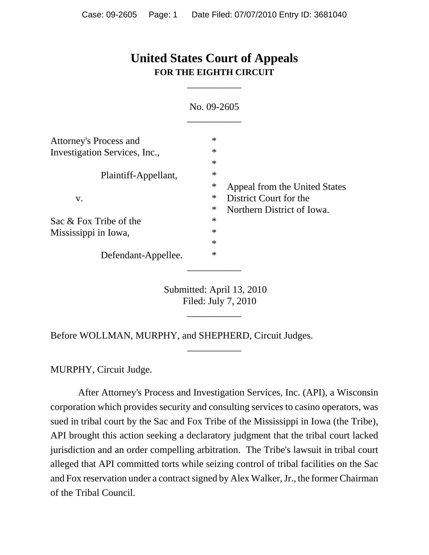# **United States Court of Appeals FOR THE EIGHTH CIRCUIT**

\_\_\_\_\_\_\_\_\_\_\_

|                               | No. 09-2605 |                               |
|-------------------------------|-------------|-------------------------------|
| Attorney's Process and        | $\ast$      |                               |
| Investigation Services, Inc., | $\ast$      |                               |
|                               | $\ast$      |                               |
| Plaintiff-Appellant,          | $\ast$      |                               |
|                               | ∗           | Appeal from the United States |
| V.                            | $\ast$      | District Court for the        |
|                               | ∗           | Northern District of Iowa.    |
| Sac & Fox Tribe of the        | $\ast$      |                               |
| Mississippi in Iowa,          | $\ast$      |                               |
|                               | $\ast$      |                               |
| Defendant-Appellee.           | $\ast$      |                               |
|                               |             |                               |

Submitted: April 13, 2010 Filed: July 7, 2010

\_\_\_\_\_\_\_\_\_\_\_

\_\_\_\_\_\_\_\_\_\_\_

Before WOLLMAN, MURPHY, and SHEPHERD, Circuit Judges.

MURPHY, Circuit Judge.

 After Attorney's Process and Investigation Services, Inc. (API), a Wisconsin corporation which provides security and consulting services to casino operators, was sued in tribal court by the Sac and Fox Tribe of the Mississippi in Iowa (the Tribe), API brought this action seeking a declaratory judgment that the tribal court lacked jurisdiction and an order compelling arbitration. The Tribe's lawsuit in tribal court alleged that API committed torts while seizing control of tribal facilities on the Sac and Fox reservation under a contract signed by Alex Walker, Jr., the former Chairman of the Tribal Council.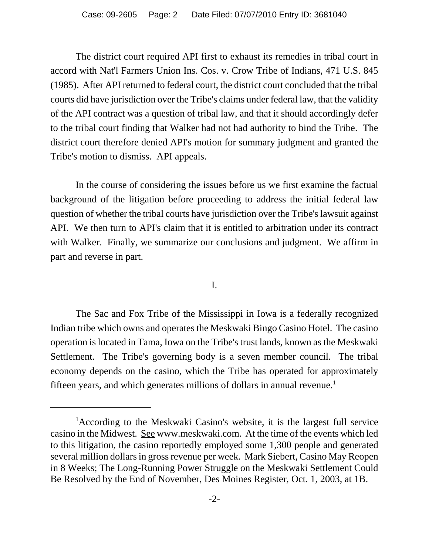The district court required API first to exhaust its remedies in tribal court in accord with Nat'l Farmers Union Ins. Cos. v. Crow Tribe of Indians, 471 U.S. 845 (1985). After API returned to federal court, the district court concluded that the tribal courts did have jurisdiction over the Tribe's claims under federal law, that the validity of the API contract was a question of tribal law, and that it should accordingly defer to the tribal court finding that Walker had not had authority to bind the Tribe. The district court therefore denied API's motion for summary judgment and granted the Tribe's motion to dismiss. API appeals.

In the course of considering the issues before us we first examine the factual background of the litigation before proceeding to address the initial federal law question of whether the tribal courts have jurisdiction over the Tribe's lawsuit against API. We then turn to API's claim that it is entitled to arbitration under its contract with Walker. Finally, we summarize our conclusions and judgment. We affirm in part and reverse in part.

#### I.

The Sac and Fox Tribe of the Mississippi in Iowa is a federally recognized Indian tribe which owns and operates the Meskwaki Bingo Casino Hotel. The casino operation is located in Tama, Iowa on the Tribe's trust lands, known as the Meskwaki Settlement. The Tribe's governing body is a seven member council. The tribal economy depends on the casino, which the Tribe has operated for approximately fifteen years, and which generates millions of dollars in annual revenue.<sup>1</sup>

<sup>&</sup>lt;sup>1</sup>According to the Meskwaki Casino's website, it is the largest full service casino in the Midwest. See www.meskwaki.com. At the time of the events which led to this litigation, the casino reportedly employed some 1,300 people and generated several million dollars in gross revenue per week. Mark Siebert, Casino May Reopen in 8 Weeks; The Long-Running Power Struggle on the Meskwaki Settlement Could Be Resolved by the End of November, Des Moines Register, Oct. 1, 2003, at 1B.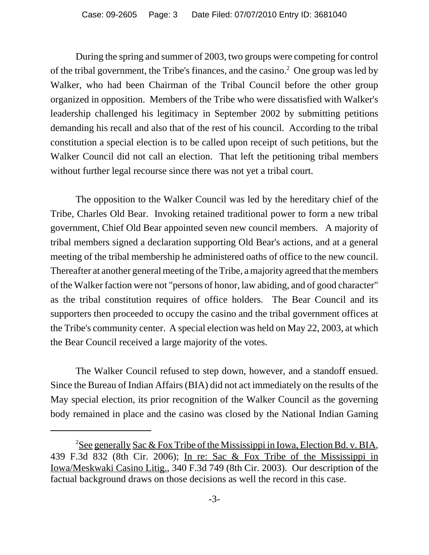During the spring and summer of 2003, two groups were competing for control of the tribal government, the Tribe's finances, and the casino. $^2$  One group was led by Walker, who had been Chairman of the Tribal Council before the other group organized in opposition. Members of the Tribe who were dissatisfied with Walker's leadership challenged his legitimacy in September 2002 by submitting petitions demanding his recall and also that of the rest of his council. According to the tribal constitution a special election is to be called upon receipt of such petitions, but the Walker Council did not call an election. That left the petitioning tribal members without further legal recourse since there was not yet a tribal court.

The opposition to the Walker Council was led by the hereditary chief of the Tribe, Charles Old Bear. Invoking retained traditional power to form a new tribal government, Chief Old Bear appointed seven new council members. A majority of tribal members signed a declaration supporting Old Bear's actions, and at a general meeting of the tribal membership he administered oaths of office to the new council. Thereafter at another general meeting of the Tribe, a majority agreed that the members of the Walker faction were not "persons of honor, law abiding, and of good character" as the tribal constitution requires of office holders. The Bear Council and its supporters then proceeded to occupy the casino and the tribal government offices at the Tribe's community center. A special election was held on May 22, 2003, at which the Bear Council received a large majority of the votes.

The Walker Council refused to step down, however, and a standoff ensued. Since the Bureau of Indian Affairs (BIA) did not act immediately on the results of the May special election, its prior recognition of the Walker Council as the governing body remained in place and the casino was closed by the National Indian Gaming

<sup>&</sup>lt;sup>2</sup>See generally Sac & Fox Tribe of the Mississippi in Iowa, Election Bd. v. BIA, 439 F.3d 832 (8th Cir. 2006); In re: Sac & Fox Tribe of the Mississippi in Iowa/Meskwaki Casino Litig., 340 F.3d 749 (8th Cir. 2003). Our description of the factual background draws on those decisions as well the record in this case.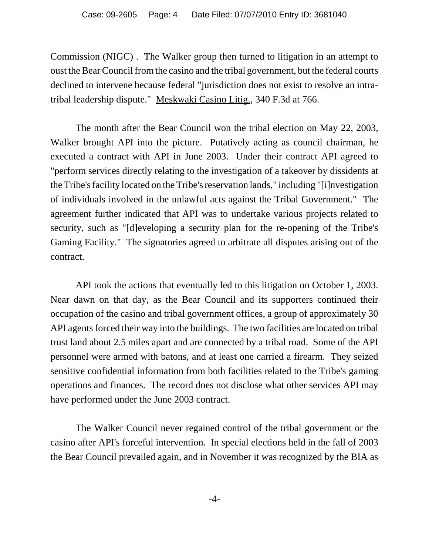Commission (NIGC) . The Walker group then turned to litigation in an attempt to oust the Bear Council from the casino and the tribal government, but the federal courts declined to intervene because federal "jurisdiction does not exist to resolve an intratribal leadership dispute." Meskwaki Casino Litig., 340 F.3d at 766.

The month after the Bear Council won the tribal election on May 22, 2003, Walker brought API into the picture. Putatively acting as council chairman, he executed a contract with API in June 2003. Under their contract API agreed to "perform services directly relating to the investigation of a takeover by dissidents at the Tribe's facility located on the Tribe's reservation lands," including "[i]nvestigation of individuals involved in the unlawful acts against the Tribal Government." The agreement further indicated that API was to undertake various projects related to security, such as "[d]eveloping a security plan for the re-opening of the Tribe's Gaming Facility." The signatories agreed to arbitrate all disputes arising out of the contract.

API took the actions that eventually led to this litigation on October 1, 2003. Near dawn on that day, as the Bear Council and its supporters continued their occupation of the casino and tribal government offices, a group of approximately 30 API agents forced their way into the buildings. The two facilities are located on tribal trust land about 2.5 miles apart and are connected by a tribal road. Some of the API personnel were armed with batons, and at least one carried a firearm. They seized sensitive confidential information from both facilities related to the Tribe's gaming operations and finances. The record does not disclose what other services API may have performed under the June 2003 contract.

The Walker Council never regained control of the tribal government or the casino after API's forceful intervention. In special elections held in the fall of 2003 the Bear Council prevailed again, and in November it was recognized by the BIA as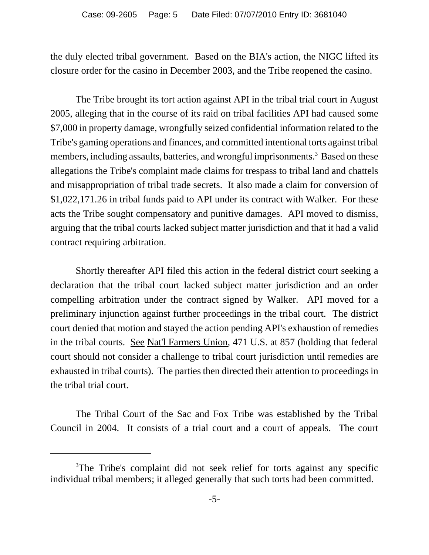the duly elected tribal government. Based on the BIA's action, the NIGC lifted its closure order for the casino in December 2003, and the Tribe reopened the casino.

The Tribe brought its tort action against API in the tribal trial court in August 2005, alleging that in the course of its raid on tribal facilities API had caused some \$7,000 in property damage, wrongfully seized confidential information related to the Tribe's gaming operations and finances, and committed intentional torts against tribal members, including assaults, batteries, and wrongful imprisonments.<sup>3</sup> Based on these allegations the Tribe's complaint made claims for trespass to tribal land and chattels and misappropriation of tribal trade secrets. It also made a claim for conversion of \$1,022,171.26 in tribal funds paid to API under its contract with Walker. For these acts the Tribe sought compensatory and punitive damages. API moved to dismiss, arguing that the tribal courts lacked subject matter jurisdiction and that it had a valid contract requiring arbitration.

Shortly thereafter API filed this action in the federal district court seeking a declaration that the tribal court lacked subject matter jurisdiction and an order compelling arbitration under the contract signed by Walker. API moved for a preliminary injunction against further proceedings in the tribal court. The district court denied that motion and stayed the action pending API's exhaustion of remedies in the tribal courts. See Nat'l Farmers Union, 471 U.S. at 857 (holding that federal court should not consider a challenge to tribal court jurisdiction until remedies are exhausted in tribal courts). The parties then directed their attention to proceedings in the tribal trial court.

The Tribal Court of the Sac and Fox Tribe was established by the Tribal Council in 2004. It consists of a trial court and a court of appeals. The court

<sup>&</sup>lt;sup>3</sup>The Tribe's complaint did not seek relief for torts against any specific individual tribal members; it alleged generally that such torts had been committed.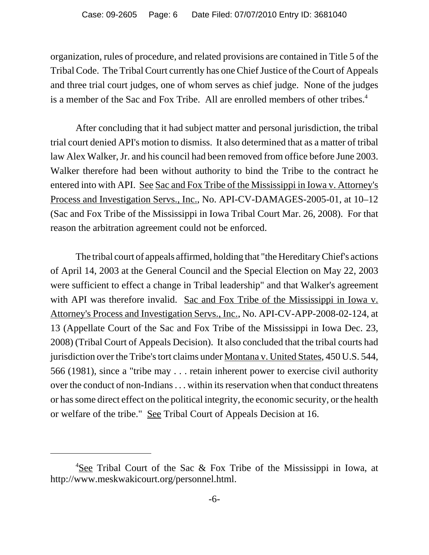organization, rules of procedure, and related provisions are contained in Title 5 of the Tribal Code. The Tribal Court currently has one Chief Justice of the Court of Appeals and three trial court judges, one of whom serves as chief judge. None of the judges is a member of the Sac and Fox Tribe. All are enrolled members of other tribes.<sup>4</sup>

After concluding that it had subject matter and personal jurisdiction, the tribal trial court denied API's motion to dismiss. It also determined that as a matter of tribal law Alex Walker, Jr. and his council had been removed from office before June 2003. Walker therefore had been without authority to bind the Tribe to the contract he entered into with API. See Sac and Fox Tribe of the Mississippi in Iowa v. Attorney's Process and Investigation Servs., Inc., No. API-CV-DAMAGES-2005-01, at 10–12 (Sac and Fox Tribe of the Mississippi in Iowa Tribal Court Mar. 26, 2008). For that reason the arbitration agreement could not be enforced.

The tribal court of appeals affirmed, holding that "the Hereditary Chief's actions of April 14, 2003 at the General Council and the Special Election on May 22, 2003 were sufficient to effect a change in Tribal leadership" and that Walker's agreement with API was therefore invalid. Sac and Fox Tribe of the Mississippi in Iowa v. Attorney's Process and Investigation Servs., Inc., No. API-CV-APP-2008-02-124, at 13 (Appellate Court of the Sac and Fox Tribe of the Mississippi in Iowa Dec. 23, 2008) (Tribal Court of Appeals Decision). It also concluded that the tribal courts had jurisdiction over the Tribe's tort claims under Montana v. United States, 450 U.S. 544, 566 (1981), since a "tribe may . . . retain inherent power to exercise civil authority over the conduct of non-Indians . . . within its reservation when that conduct threatens or has some direct effect on the political integrity, the economic security, or the health or welfare of the tribe." See Tribal Court of Appeals Decision at 16.

<sup>&</sup>lt;sup>4</sup>See Tribal Court of the Sac & Fox Tribe of the Mississippi in Iowa, at http://www.meskwakicourt.org/personnel.html.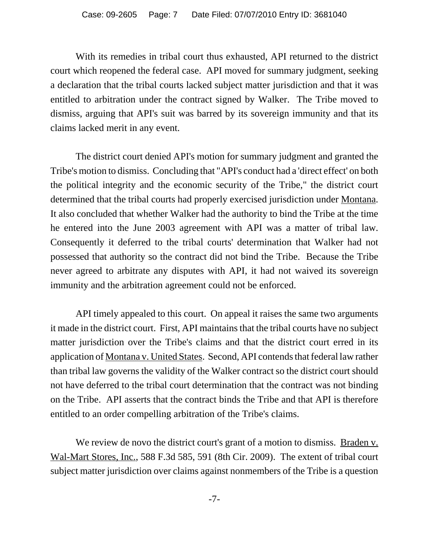With its remedies in tribal court thus exhausted, API returned to the district court which reopened the federal case. API moved for summary judgment, seeking a declaration that the tribal courts lacked subject matter jurisdiction and that it was entitled to arbitration under the contract signed by Walker. The Tribe moved to dismiss, arguing that API's suit was barred by its sovereign immunity and that its claims lacked merit in any event.

The district court denied API's motion for summary judgment and granted the Tribe's motion to dismiss. Concluding that "API's conduct had a 'direct effect' on both the political integrity and the economic security of the Tribe," the district court determined that the tribal courts had properly exercised jurisdiction under Montana. It also concluded that whether Walker had the authority to bind the Tribe at the time he entered into the June 2003 agreement with API was a matter of tribal law. Consequently it deferred to the tribal courts' determination that Walker had not possessed that authority so the contract did not bind the Tribe. Because the Tribe never agreed to arbitrate any disputes with API, it had not waived its sovereign immunity and the arbitration agreement could not be enforced.

API timely appealed to this court. On appeal it raises the same two arguments it made in the district court. First, API maintains that the tribal courts have no subject matter jurisdiction over the Tribe's claims and that the district court erred in its application of Montana v. United States. Second, API contends that federal law rather than tribal law governs the validity of the Walker contract so the district court should not have deferred to the tribal court determination that the contract was not binding on the Tribe. API asserts that the contract binds the Tribe and that API is therefore entitled to an order compelling arbitration of the Tribe's claims.

We review de novo the district court's grant of a motion to dismiss. Braden v. Wal-Mart Stores, Inc., 588 F.3d 585, 591 (8th Cir. 2009). The extent of tribal court subject matter jurisdiction over claims against nonmembers of the Tribe is a question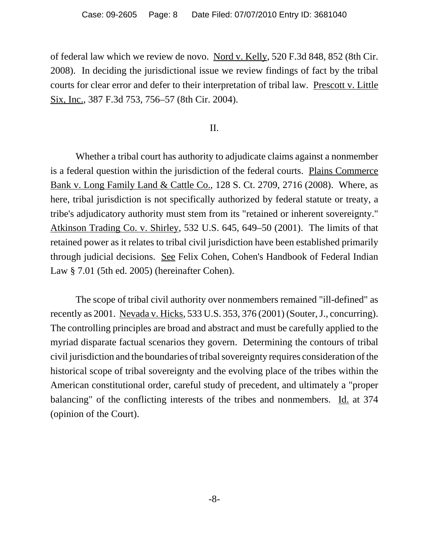of federal law which we review de novo. Nord v. Kelly, 520 F.3d 848, 852 (8th Cir. 2008). In deciding the jurisdictional issue we review findings of fact by the tribal courts for clear error and defer to their interpretation of tribal law. Prescott v. Little Six, Inc., 387 F.3d 753, 756–57 (8th Cir. 2004).

# II.

Whether a tribal court has authority to adjudicate claims against a nonmember is a federal question within the jurisdiction of the federal courts. Plains Commerce Bank v. Long Family Land & Cattle Co., 128 S. Ct. 2709, 2716 (2008). Where, as here, tribal jurisdiction is not specifically authorized by federal statute or treaty, a tribe's adjudicatory authority must stem from its "retained or inherent sovereignty." Atkinson Trading Co. v. Shirley, 532 U.S. 645, 649–50 (2001). The limits of that retained power as it relates to tribal civil jurisdiction have been established primarily through judicial decisions. See Felix Cohen, Cohen's Handbook of Federal Indian Law § 7.01 (5th ed. 2005) (hereinafter Cohen).

The scope of tribal civil authority over nonmembers remained "ill-defined" as recently as 2001. Nevada v. Hicks, 533 U.S. 353, 376 (2001) (Souter, J., concurring). The controlling principles are broad and abstract and must be carefully applied to the myriad disparate factual scenarios they govern. Determining the contours of tribal civil jurisdiction and the boundaries of tribal sovereignty requires consideration of the historical scope of tribal sovereignty and the evolving place of the tribes within the American constitutional order, careful study of precedent, and ultimately a "proper balancing" of the conflicting interests of the tribes and nonmembers. Id. at 374 (opinion of the Court).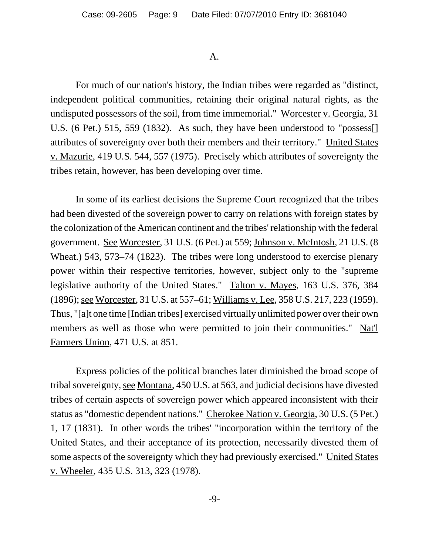#### A.

For much of our nation's history, the Indian tribes were regarded as "distinct, independent political communities, retaining their original natural rights, as the undisputed possessors of the soil, from time immemorial." Worcester v. Georgia, 31 U.S. (6 Pet.) 515, 559 (1832). As such, they have been understood to "possess[] attributes of sovereignty over both their members and their territory." United States v. Mazurie, 419 U.S. 544, 557 (1975). Precisely which attributes of sovereignty the tribes retain, however, has been developing over time.

In some of its earliest decisions the Supreme Court recognized that the tribes had been divested of the sovereign power to carry on relations with foreign states by the colonization of the American continent and the tribes' relationship with the federal government. See Worcester, 31 U.S. (6 Pet.) at 559; Johnson v. McIntosh, 21 U.S. (8 Wheat.) 543, 573–74 (1823). The tribes were long understood to exercise plenary power within their respective territories, however, subject only to the "supreme legislative authority of the United States." Talton v. Mayes, 163 U.S. 376, 384 (1896); see Worcester, 31 U.S. at 557–61; Williams v. Lee, 358 U.S. 217, 223 (1959). Thus, "[a]t one time [Indian tribes] exercised virtually unlimited power over their own members as well as those who were permitted to join their communities." Nat'l Farmers Union, 471 U.S. at 851.

Express policies of the political branches later diminished the broad scope of tribal sovereignty, see Montana, 450 U.S. at 563, and judicial decisions have divested tribes of certain aspects of sovereign power which appeared inconsistent with their status as "domestic dependent nations." Cherokee Nation v. Georgia, 30 U.S. (5 Pet.) 1, 17 (1831). In other words the tribes' "incorporation within the territory of the United States, and their acceptance of its protection, necessarily divested them of some aspects of the sovereignty which they had previously exercised." United States v. Wheeler, 435 U.S. 313, 323 (1978).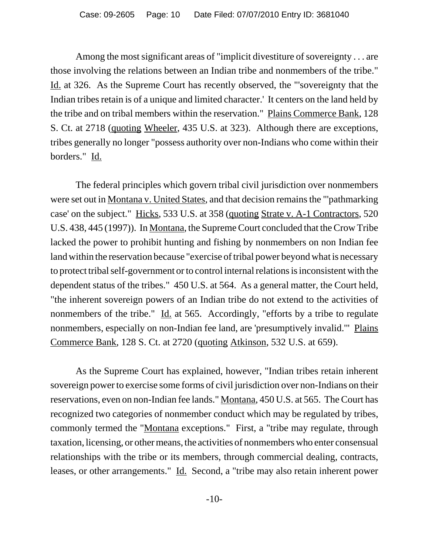Among the most significant areas of "implicit divestiture of sovereignty . . . are those involving the relations between an Indian tribe and nonmembers of the tribe." Id. at 326. As the Supreme Court has recently observed, the "'sovereignty that the Indian tribes retain is of a unique and limited character.' It centers on the land held by the tribe and on tribal members within the reservation." Plains Commerce Bank, 128 S. Ct. at 2718 (quoting Wheeler, 435 U.S. at 323). Although there are exceptions, tribes generally no longer "possess authority over non-Indians who come within their borders." Id.

The federal principles which govern tribal civil jurisdiction over nonmembers were set out in Montana v. United States, and that decision remains the "'pathmarking case' on the subject." Hicks, 533 U.S. at 358 (quoting Strate v. A-1 Contractors, 520 U.S. 438, 445 (1997)). In Montana, the Supreme Court concluded that the Crow Tribe lacked the power to prohibit hunting and fishing by nonmembers on non Indian fee land within the reservation because "exercise of tribal power beyond what is necessary to protect tribal self-government or to control internal relations is inconsistent with the dependent status of the tribes." 450 U.S. at 564. As a general matter, the Court held, "the inherent sovereign powers of an Indian tribe do not extend to the activities of nonmembers of the tribe."  $\underline{Id}$  at 565. Accordingly, "efforts by a tribe to regulate nonmembers, especially on non-Indian fee land, are 'presumptively invalid.'" Plains Commerce Bank, 128 S. Ct. at 2720 (quoting Atkinson, 532 U.S. at 659).

As the Supreme Court has explained, however, "Indian tribes retain inherent sovereign power to exercise some forms of civil jurisdiction over non-Indians on their reservations, even on non-Indian fee lands." Montana, 450 U.S. at 565. The Court has recognized two categories of nonmember conduct which may be regulated by tribes, commonly termed the "Montana exceptions." First, a "tribe may regulate, through taxation, licensing, or other means, the activities of nonmembers who enter consensual relationships with the tribe or its members, through commercial dealing, contracts, leases, or other arrangements." Id. Second, a "tribe may also retain inherent power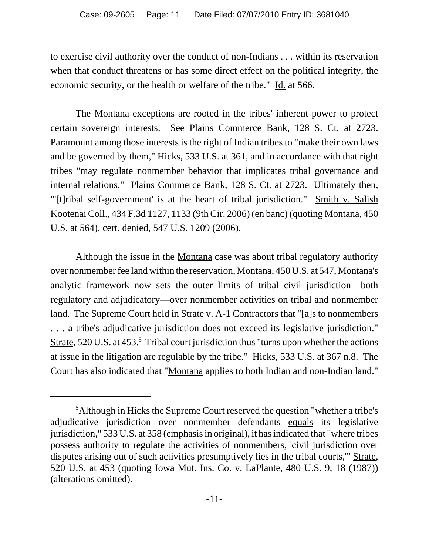to exercise civil authority over the conduct of non-Indians . . . within its reservation when that conduct threatens or has some direct effect on the political integrity, the economic security, or the health or welfare of the tribe." Id. at 566.

The Montana exceptions are rooted in the tribes' inherent power to protect certain sovereign interests. See Plains Commerce Bank, 128 S. Ct. at 2723. Paramount among those interests is the right of Indian tribes to "make their own laws and be governed by them," Hicks, 533 U.S. at 361, and in accordance with that right tribes "may regulate nonmember behavior that implicates tribal governance and internal relations." Plains Commerce Bank, 128 S. Ct. at 2723. Ultimately then, "[t]ribal self-government' is at the heart of tribal jurisdiction." Smith v. Salish Kootenai Coll., 434 F.3d 1127, 1133 (9th Cir. 2006) (en banc) (quoting Montana, 450 U.S. at 564), cert. denied, 547 U.S. 1209 (2006).

Although the issue in the Montana case was about tribal regulatory authority over nonmember fee land within the reservation, Montana, 450 U.S. at 547, Montana's analytic framework now sets the outer limits of tribal civil jurisdiction—both regulatory and adjudicatory—over nonmember activities on tribal and nonmember land. The Supreme Court held in Strate v. A-1 Contractors that "[a]s to nonmembers . . . a tribe's adjudicative jurisdiction does not exceed its legislative jurisdiction." Strate, 520 U.S. at 453.<sup>5</sup> Tribal court jurisdiction thus "turns upon whether the actions at issue in the litigation are regulable by the tribe." Hicks, 533 U.S. at 367 n.8. The Court has also indicated that "Montana applies to both Indian and non-Indian land."

<sup>&</sup>lt;sup>5</sup>Although in Hicks the Supreme Court reserved the question "whether a tribe's adjudicative jurisdiction over nonmember defendants equals its legislative jurisdiction," 533 U.S. at 358 (emphasis in original), it has indicated that "where tribes possess authority to regulate the activities of nonmembers, 'civil jurisdiction over disputes arising out of such activities presumptively lies in the tribal courts,'" Strate, 520 U.S. at 453 (quoting Iowa Mut. Ins. Co. v. LaPlante, 480 U.S. 9, 18 (1987)) (alterations omitted).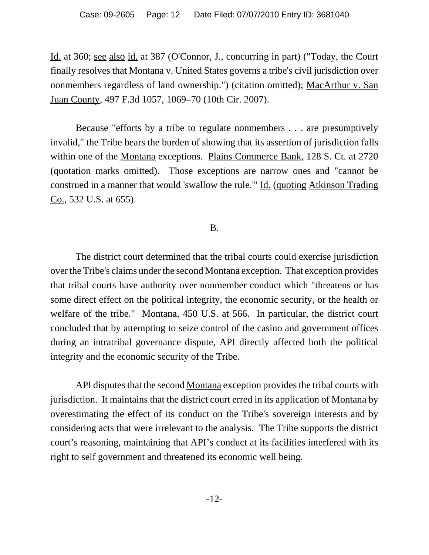Id. at 360; see also id. at 387 (O'Connor, J., concurring in part) ("Today, the Court finally resolves that Montana v. United States governs a tribe's civil jurisdiction over nonmembers regardless of land ownership.") (citation omitted); MacArthur v. San Juan County, 497 F.3d 1057, 1069–70 (10th Cir. 2007).

Because "efforts by a tribe to regulate nonmembers . . . are presumptively invalid," the Tribe bears the burden of showing that its assertion of jurisdiction falls within one of the Montana exceptions. Plains Commerce Bank, 128 S. Ct. at 2720 (quotation marks omitted). Those exceptions are narrow ones and "cannot be construed in a manner that would 'swallow the rule.'" Id. (quoting Atkinson Trading Co., 532 U.S. at 655).

# B.

The district court determined that the tribal courts could exercise jurisdiction over the Tribe's claims under the second Montana exception. That exception provides that tribal courts have authority over nonmember conduct which "threatens or has some direct effect on the political integrity, the economic security, or the health or welfare of the tribe." Montana, 450 U.S. at 566. In particular, the district court concluded that by attempting to seize control of the casino and government offices during an intratribal governance dispute, API directly affected both the political integrity and the economic security of the Tribe.

API disputes that the second Montana exception provides the tribal courts with jurisdiction. It maintains that the district court erred in its application of Montana by overestimating the effect of its conduct on the Tribe's sovereign interests and by considering acts that were irrelevant to the analysis. The Tribe supports the district court's reasoning, maintaining that API's conduct at its facilities interfered with its right to self government and threatened its economic well being.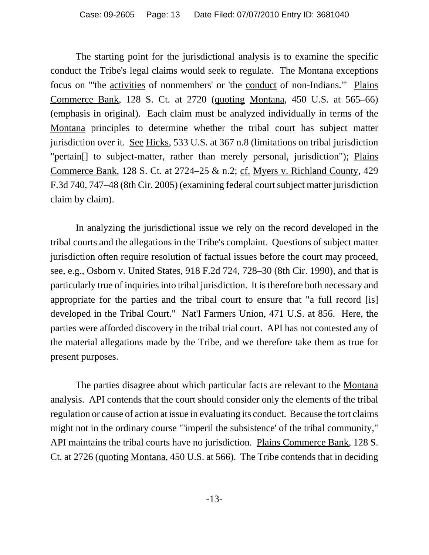The starting point for the jurisdictional analysis is to examine the specific conduct the Tribe's legal claims would seek to regulate. The Montana exceptions focus on "'the activities of nonmembers' or 'the conduct of non-Indians.'" Plains Commerce Bank, 128 S. Ct. at 2720 (quoting Montana, 450 U.S. at 565–66) (emphasis in original). Each claim must be analyzed individually in terms of the Montana principles to determine whether the tribal court has subject matter jurisdiction over it. See Hicks, 533 U.S. at 367 n.8 (limitations on tribal jurisdiction "pertain<sup>[]</sup> to subject-matter, rather than merely personal, jurisdiction"); Plains Commerce Bank, 128 S. Ct. at 2724–25 & n.2; cf. Myers v. Richland County, 429 F.3d 740, 747–48 (8th Cir. 2005) (examining federal court subject matter jurisdiction claim by claim).

In analyzing the jurisdictional issue we rely on the record developed in the tribal courts and the allegations in the Tribe's complaint. Questions of subject matter jurisdiction often require resolution of factual issues before the court may proceed, see, e.g., Osborn v. United States, 918 F.2d 724, 728–30 (8th Cir. 1990), and that is particularly true of inquiries into tribal jurisdiction. It is therefore both necessary and appropriate for the parties and the tribal court to ensure that "a full record [is] developed in the Tribal Court." Nat'l Farmers Union, 471 U.S. at 856. Here, the parties were afforded discovery in the tribal trial court. API has not contested any of the material allegations made by the Tribe, and we therefore take them as true for present purposes.

The parties disagree about which particular facts are relevant to the Montana analysis. API contends that the court should consider only the elements of the tribal regulation or cause of action at issue in evaluating its conduct. Because the tort claims might not in the ordinary course "'imperil the subsistence' of the tribal community," API maintains the tribal courts have no jurisdiction. Plains Commerce Bank, 128 S. Ct. at 2726 (quoting Montana, 450 U.S. at 566). The Tribe contends that in deciding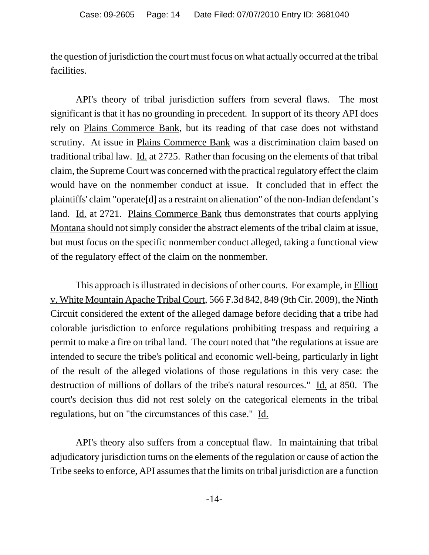the question of jurisdiction the court must focus on what actually occurred at the tribal facilities.

API's theory of tribal jurisdiction suffers from several flaws. The most significant is that it has no grounding in precedent. In support of its theory API does rely on Plains Commerce Bank, but its reading of that case does not withstand scrutiny. At issue in Plains Commerce Bank was a discrimination claim based on traditional tribal law. Id. at 2725. Rather than focusing on the elements of that tribal claim, the Supreme Court was concerned with the practical regulatory effect the claim would have on the nonmember conduct at issue. It concluded that in effect the plaintiffs' claim "operate[d] as a restraint on alienation" of the non-Indian defendant's land. Id. at 2721. Plains Commerce Bank thus demonstrates that courts applying Montana should not simply consider the abstract elements of the tribal claim at issue, but must focus on the specific nonmember conduct alleged, taking a functional view of the regulatory effect of the claim on the nonmember.

This approach is illustrated in decisions of other courts. For example, in Elliott v. White Mountain Apache Tribal Court, 566 F.3d 842, 849 (9th Cir. 2009), the Ninth Circuit considered the extent of the alleged damage before deciding that a tribe had colorable jurisdiction to enforce regulations prohibiting trespass and requiring a permit to make a fire on tribal land. The court noted that "the regulations at issue are intended to secure the tribe's political and economic well-being, particularly in light of the result of the alleged violations of those regulations in this very case: the destruction of millions of dollars of the tribe's natural resources." Id. at 850. The court's decision thus did not rest solely on the categorical elements in the tribal regulations, but on "the circumstances of this case." Id.

API's theory also suffers from a conceptual flaw. In maintaining that tribal adjudicatory jurisdiction turns on the elements of the regulation or cause of action the Tribe seeks to enforce, API assumes that the limits on tribal jurisdiction are a function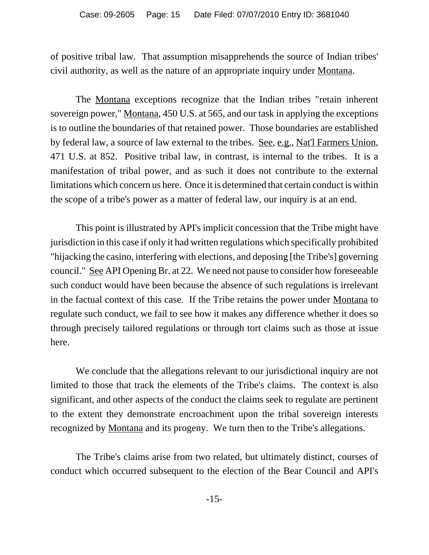of positive tribal law. That assumption misapprehends the source of Indian tribes' civil authority, as well as the nature of an appropriate inquiry under Montana.

The Montana exceptions recognize that the Indian tribes "retain inherent sovereign power," Montana, 450 U.S. at 565, and our task in applying the exceptions is to outline the boundaries of that retained power. Those boundaries are established by federal law, a source of law external to the tribes. See, e.g., Nat'l Farmers Union, 471 U.S. at 852. Positive tribal law, in contrast, is internal to the tribes. It is a manifestation of tribal power, and as such it does not contribute to the external limitations which concern us here. Once it is determined that certain conduct is within the scope of a tribe's power as a matter of federal law, our inquiry is at an end.

This point is illustrated by API's implicit concession that the Tribe might have jurisdiction in this case if only it had written regulations which specifically prohibited "hijacking the casino, interfering with elections, and deposing [the Tribe's] governing council." See API Opening Br. at 22. We need not pause to consider how foreseeable such conduct would have been because the absence of such regulations is irrelevant in the factual context of this case. If the Tribe retains the power under Montana to regulate such conduct, we fail to see how it makes any difference whether it does so through precisely tailored regulations or through tort claims such as those at issue here.

We conclude that the allegations relevant to our jurisdictional inquiry are not limited to those that track the elements of the Tribe's claims. The context is also significant, and other aspects of the conduct the claims seek to regulate are pertinent to the extent they demonstrate encroachment upon the tribal sovereign interests recognized by Montana and its progeny. We turn then to the Tribe's allegations.

The Tribe's claims arise from two related, but ultimately distinct, courses of conduct which occurred subsequent to the election of the Bear Council and API's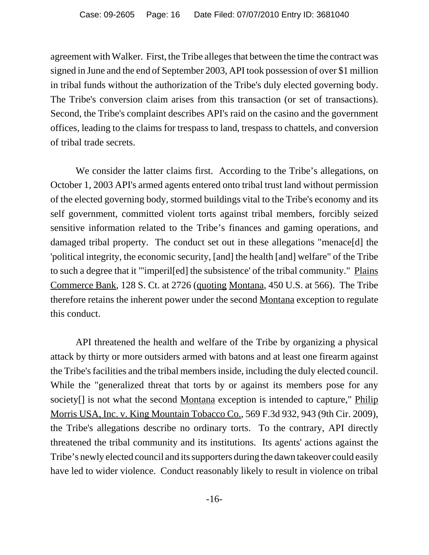agreement with Walker. First, the Tribe alleges that between the time the contract was signed in June and the end of September 2003, API took possession of over \$1 million in tribal funds without the authorization of the Tribe's duly elected governing body. The Tribe's conversion claim arises from this transaction (or set of transactions). Second, the Tribe's complaint describes API's raid on the casino and the government offices, leading to the claims for trespass to land, trespass to chattels, and conversion of tribal trade secrets.

We consider the latter claims first. According to the Tribe's allegations, on October 1, 2003 API's armed agents entered onto tribal trust land without permission of the elected governing body, stormed buildings vital to the Tribe's economy and its self government, committed violent torts against tribal members, forcibly seized sensitive information related to the Tribe's finances and gaming operations, and damaged tribal property. The conduct set out in these allegations "menace[d] the 'political integrity, the economic security, [and] the health [and] welfare" of the Tribe to such a degree that it "'imperil[ed] the subsistence' of the tribal community." Plains Commerce Bank, 128 S. Ct. at 2726 (quoting Montana, 450 U.S. at 566). The Tribe therefore retains the inherent power under the second Montana exception to regulate this conduct.

API threatened the health and welfare of the Tribe by organizing a physical attack by thirty or more outsiders armed with batons and at least one firearm against the Tribe's facilities and the tribal members inside, including the duly elected council. While the "generalized threat that torts by or against its members pose for any society<sup>[]</sup> is not what the second <u>Montana</u> exception is intended to capture," Philip Morris USA, Inc. v. King Mountain Tobacco Co., 569 F.3d 932, 943 (9th Cir. 2009), the Tribe's allegations describe no ordinary torts. To the contrary, API directly threatened the tribal community and its institutions. Its agents' actions against the Tribe's newly elected council and its supporters during the dawn takeover could easily have led to wider violence. Conduct reasonably likely to result in violence on tribal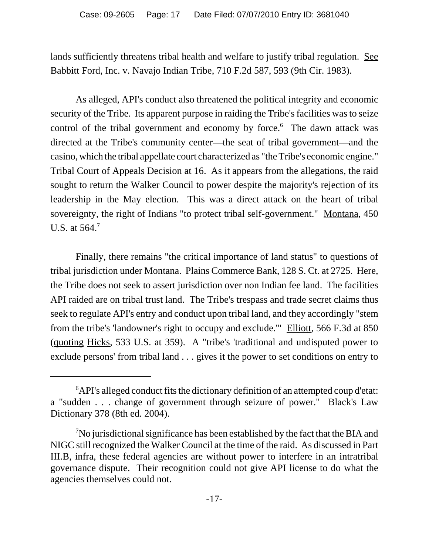lands sufficiently threatens tribal health and welfare to justify tribal regulation. See Babbitt Ford, Inc. v. Navajo Indian Tribe, 710 F.2d 587, 593 (9th Cir. 1983).

As alleged, API's conduct also threatened the political integrity and economic security of the Tribe. Its apparent purpose in raiding the Tribe's facilities was to seize control of the tribal government and economy by force.<sup>6</sup> The dawn attack was directed at the Tribe's community center—the seat of tribal government—and the casino, which the tribal appellate court characterized as "the Tribe's economic engine." Tribal Court of Appeals Decision at 16. As it appears from the allegations, the raid sought to return the Walker Council to power despite the majority's rejection of its leadership in the May election. This was a direct attack on the heart of tribal sovereignty, the right of Indians "to protect tribal self-government." Montana, 450 U.S. at 564.<sup>7</sup>

Finally, there remains "the critical importance of land status" to questions of tribal jurisdiction under Montana. Plains Commerce Bank, 128 S. Ct. at 2725. Here, the Tribe does not seek to assert jurisdiction over non Indian fee land. The facilities API raided are on tribal trust land. The Tribe's trespass and trade secret claims thus seek to regulate API's entry and conduct upon tribal land, and they accordingly "stem from the tribe's 'landowner's right to occupy and exclude.'" Elliott, 566 F.3d at 850 (quoting Hicks, 533 U.S. at 359). A "tribe's 'traditional and undisputed power to exclude persons' from tribal land . . . gives it the power to set conditions on entry to

<sup>&</sup>lt;sup>6</sup>API's alleged conduct fits the dictionary definition of an attempted coup d'etat: a "sudden . . . change of government through seizure of power." Black's Law Dictionary 378 (8th ed. 2004).

 $\sqrt[7]{2}$ No jurisdictional significance has been established by the fact that the BIA and NIGC still recognized the Walker Council at the time of the raid. As discussed in Part III.B, infra, these federal agencies are without power to interfere in an intratribal governance dispute. Their recognition could not give API license to do what the agencies themselves could not.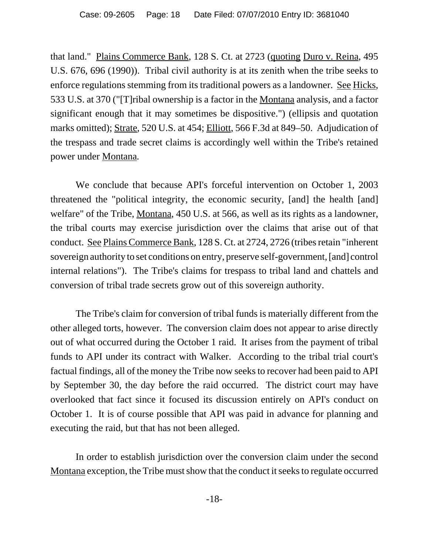that land." Plains Commerce Bank, 128 S. Ct. at 2723 (quoting Duro v. Reina, 495 U.S. 676, 696 (1990)). Tribal civil authority is at its zenith when the tribe seeks to enforce regulations stemming from its traditional powers as a landowner. See Hicks, 533 U.S. at 370 ("[T]ribal ownership is a factor in the Montana analysis, and a factor significant enough that it may sometimes be dispositive.") (ellipsis and quotation marks omitted); Strate, 520 U.S. at 454; Elliott, 566 F.3d at 849–50. Adjudication of the trespass and trade secret claims is accordingly well within the Tribe's retained power under Montana*.*

We conclude that because API's forceful intervention on October 1, 2003 threatened the "political integrity, the economic security, [and] the health [and] welfare" of the Tribe, Montana, 450 U.S. at 566, as well as its rights as a landowner, the tribal courts may exercise jurisdiction over the claims that arise out of that conduct. See Plains Commerce Bank, 128 S. Ct. at 2724, 2726 (tribes retain "inherent sovereign authority to set conditions on entry, preserve self-government, [and] control internal relations"). The Tribe's claims for trespass to tribal land and chattels and conversion of tribal trade secrets grow out of this sovereign authority.

The Tribe's claim for conversion of tribal funds is materially different from the other alleged torts, however. The conversion claim does not appear to arise directly out of what occurred during the October 1 raid. It arises from the payment of tribal funds to API under its contract with Walker. According to the tribal trial court's factual findings, all of the money the Tribe now seeks to recover had been paid to API by September 30, the day before the raid occurred. The district court may have overlooked that fact since it focused its discussion entirely on API's conduct on October 1. It is of course possible that API was paid in advance for planning and executing the raid, but that has not been alleged.

In order to establish jurisdiction over the conversion claim under the second Montana exception, the Tribe must show that the conduct it seeks to regulate occurred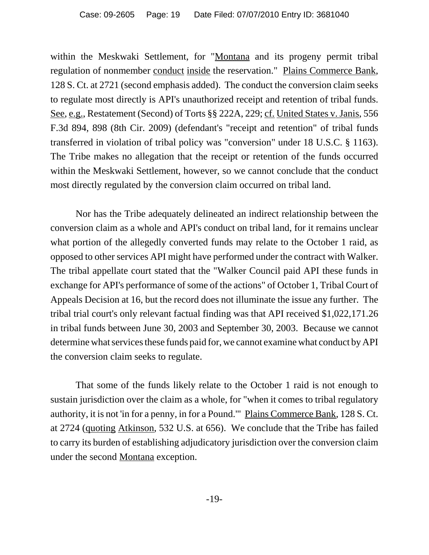within the Meskwaki Settlement, for "Montana and its progeny permit tribal regulation of nonmember conduct inside the reservation." Plains Commerce Bank, 128 S. Ct. at 2721 (second emphasis added). The conduct the conversion claim seeks to regulate most directly is API's unauthorized receipt and retention of tribal funds. See, e.g., Restatement (Second) of Torts §§ 222A, 229; cf. United States v. Janis, 556 F.3d 894, 898 (8th Cir. 2009) (defendant's "receipt and retention" of tribal funds transferred in violation of tribal policy was "conversion" under 18 U.S.C. § 1163). The Tribe makes no allegation that the receipt or retention of the funds occurred within the Meskwaki Settlement, however, so we cannot conclude that the conduct most directly regulated by the conversion claim occurred on tribal land.

Nor has the Tribe adequately delineated an indirect relationship between the conversion claim as a whole and API's conduct on tribal land, for it remains unclear what portion of the allegedly converted funds may relate to the October 1 raid, as opposed to other services API might have performed under the contract with Walker. The tribal appellate court stated that the "Walker Council paid API these funds in exchange for API's performance of some of the actions" of October 1, Tribal Court of Appeals Decision at 16, but the record does not illuminate the issue any further. The tribal trial court's only relevant factual finding was that API received \$1,022,171.26 in tribal funds between June 30, 2003 and September 30, 2003. Because we cannot determine what services these funds paid for, we cannot examine what conduct by API the conversion claim seeks to regulate.

That some of the funds likely relate to the October 1 raid is not enough to sustain jurisdiction over the claim as a whole, for "when it comes to tribal regulatory authority, it is not 'in for a penny, in for a Pound.'" Plains Commerce Bank, 128 S. Ct. at 2724 (quoting Atkinson, 532 U.S. at 656). We conclude that the Tribe has failed to carry its burden of establishing adjudicatory jurisdiction over the conversion claim under the second Montana exception.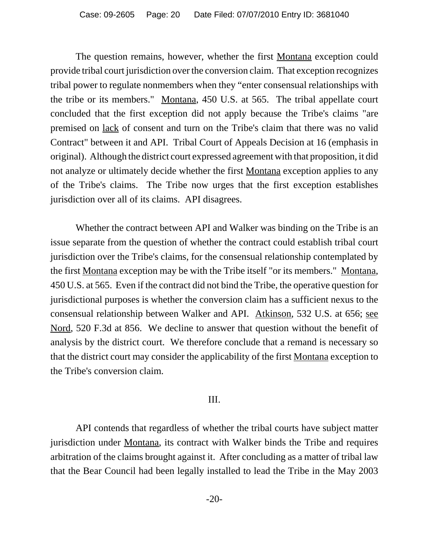The question remains, however, whether the first Montana exception could provide tribal court jurisdiction over the conversion claim. That exception recognizes tribal power to regulate nonmembers when they "enter consensual relationships with the tribe or its members." Montana, 450 U.S. at 565. The tribal appellate court concluded that the first exception did not apply because the Tribe's claims "are premised on lack of consent and turn on the Tribe's claim that there was no valid Contract" between it and API. Tribal Court of Appeals Decision at 16 (emphasis in original). Although the district court expressed agreement with that proposition, it did not analyze or ultimately decide whether the first Montana exception applies to any of the Tribe's claims. The Tribe now urges that the first exception establishes jurisdiction over all of its claims. API disagrees.

Whether the contract between API and Walker was binding on the Tribe is an issue separate from the question of whether the contract could establish tribal court jurisdiction over the Tribe's claims, for the consensual relationship contemplated by the first Montana exception may be with the Tribe itself "or its members." Montana, 450 U.S. at 565. Even if the contract did not bind the Tribe, the operative question for jurisdictional purposes is whether the conversion claim has a sufficient nexus to the consensual relationship between Walker and API. Atkinson, 532 U.S. at 656; see Nord, 520 F.3d at 856. We decline to answer that question without the benefit of analysis by the district court. We therefore conclude that a remand is necessary so that the district court may consider the applicability of the first Montana exception to the Tribe's conversion claim.

# III.

API contends that regardless of whether the tribal courts have subject matter jurisdiction under Montana, its contract with Walker binds the Tribe and requires arbitration of the claims brought against it. After concluding as a matter of tribal law that the Bear Council had been legally installed to lead the Tribe in the May 2003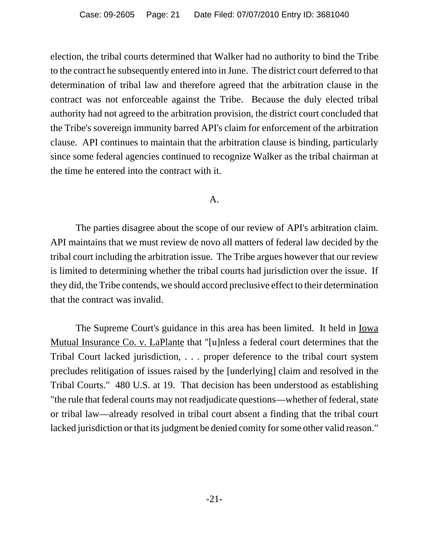election, the tribal courts determined that Walker had no authority to bind the Tribe to the contract he subsequently entered into in June. The district court deferred to that determination of tribal law and therefore agreed that the arbitration clause in the contract was not enforceable against the Tribe. Because the duly elected tribal authority had not agreed to the arbitration provision, the district court concluded that the Tribe's sovereign immunity barred API's claim for enforcement of the arbitration clause. API continues to maintain that the arbitration clause is binding, particularly since some federal agencies continued to recognize Walker as the tribal chairman at the time he entered into the contract with it.

#### A.

The parties disagree about the scope of our review of API's arbitration claim. API maintains that we must review de novo all matters of federal law decided by the tribal court including the arbitration issue. The Tribe argues however that our review is limited to determining whether the tribal courts had jurisdiction over the issue. If they did, the Tribe contends, we should accord preclusive effect to their determination that the contract was invalid.

The Supreme Court's guidance in this area has been limited. It held in <u>Iowa</u> Mutual Insurance Co. v. LaPlante that "[u]nless a federal court determines that the Tribal Court lacked jurisdiction, . . . proper deference to the tribal court system precludes relitigation of issues raised by the [underlying] claim and resolved in the Tribal Courts." 480 U.S. at 19. That decision has been understood as establishing "the rule that federal courts may not readjudicate questions—whether of federal, state or tribal law—already resolved in tribal court absent a finding that the tribal court lacked jurisdiction or that its judgment be denied comity for some other valid reason."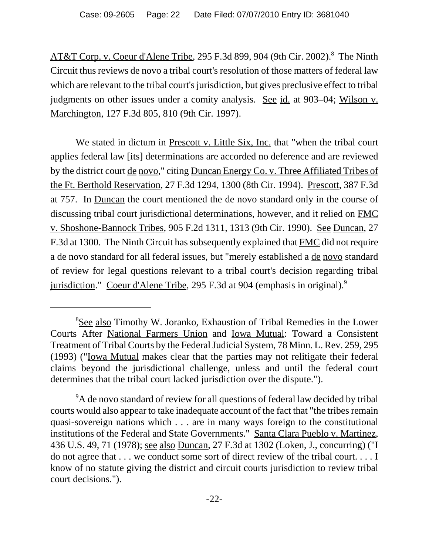AT&T Corp. v. Coeur d'Alene Tribe, 295 F.3d 899, 904 (9th Cir. 2002).<sup>8</sup> The Ninth Circuit thus reviews de novo a tribal court's resolution of those matters of federal law which are relevant to the tribal court's jurisdiction, but gives preclusive effect to tribal judgments on other issues under a comity analysis. See id. at 903–04; Wilson v. Marchington, 127 F.3d 805, 810 (9th Cir. 1997).

We stated in dictum in Prescott v. Little Six, Inc. that "when the tribal court applies federal law [its] determinations are accorded no deference and are reviewed by the district court de novo," citing Duncan Energy Co. v. Three Affiliated Tribes of the Ft. Berthold Reservation, 27 F.3d 1294, 1300 (8th Cir. 1994). Prescott, 387 F.3d at 757. In Duncan the court mentioned the de novo standard only in the course of discussing tribal court jurisdictional determinations, however, and it relied on FMC v. Shoshone-Bannock Tribes, 905 F.2d 1311, 1313 (9th Cir. 1990). See Duncan, 27 F.3d at 1300. The Ninth Circuit has subsequently explained that FMC did not require a de novo standard for all federal issues, but "merely established a de novo standard of review for legal questions relevant to a tribal court's decision regarding tribal jurisdiction." Coeur d'Alene Tribe, 295 F.3d at 904 (emphasis in original).<sup>9</sup>

<sup>&</sup>lt;sup>8</sup>See also Timothy W. Joranko, Exhaustion of Tribal Remedies in the Lower Courts After National Farmers Union and Iowa Mutual: Toward a Consistent Treatment of Tribal Courts by the Federal Judicial System, 78 Minn. L. Rev. 259, 295 (1993) ("Iowa Mutual makes clear that the parties may not relitigate their federal claims beyond the jurisdictional challenge, unless and until the federal court determines that the tribal court lacked jurisdiction over the dispute.").

<sup>&</sup>lt;sup>9</sup>A de novo standard of review for all questions of federal law decided by tribal courts would also appear to take inadequate account of the fact that "the tribes remain quasi-sovereign nations which . . . are in many ways foreign to the constitutional institutions of the Federal and State Governments." Santa Clara Pueblo v. Martinez, 436 U.S. 49, 71 (1978); see also Duncan, 27 F.3d at 1302 (Loken, J., concurring) ("I do not agree that . . . we conduct some sort of direct review of the tribal court. . . . I know of no statute giving the district and circuit courts jurisdiction to review tribal court decisions.").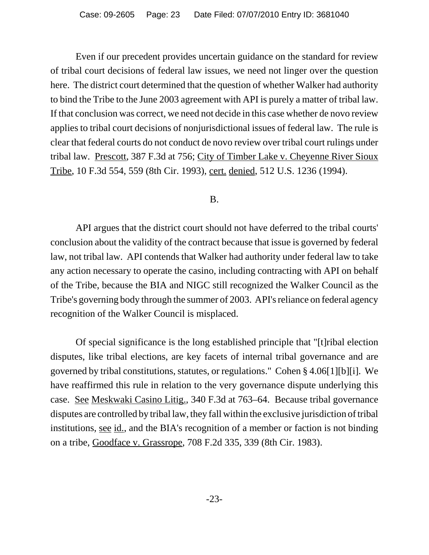Even if our precedent provides uncertain guidance on the standard for review of tribal court decisions of federal law issues, we need not linger over the question here. The district court determined that the question of whether Walker had authority to bind the Tribe to the June 2003 agreement with API is purely a matter of tribal law. If that conclusion was correct, we need not decide in this case whether de novo review applies to tribal court decisions of nonjurisdictional issues of federal law. The rule is clear that federal courts do not conduct de novo review over tribal court rulings under tribal law. Prescott, 387 F.3d at 756; City of Timber Lake v. Cheyenne River Sioux Tribe, 10 F.3d 554, 559 (8th Cir. 1993), cert. denied, 512 U.S. 1236 (1994).

# B.

API argues that the district court should not have deferred to the tribal courts' conclusion about the validity of the contract because that issue is governed by federal law, not tribal law. API contends that Walker had authority under federal law to take any action necessary to operate the casino, including contracting with API on behalf of the Tribe, because the BIA and NIGC still recognized the Walker Council as the Tribe's governing body through the summer of 2003. API's reliance on federal agency recognition of the Walker Council is misplaced.

Of special significance is the long established principle that "[t]ribal election disputes, like tribal elections, are key facets of internal tribal governance and are governed by tribal constitutions, statutes, or regulations." Cohen § 4.06[1][b][i]. We have reaffirmed this rule in relation to the very governance dispute underlying this case. See Meskwaki Casino Litig., 340 F.3d at 763–64. Because tribal governance disputes are controlled by tribal law, they fall within the exclusive jurisdiction of tribal institutions, see id., and the BIA's recognition of a member or faction is not binding on a tribe, Goodface v. Grassrope, 708 F.2d 335, 339 (8th Cir. 1983).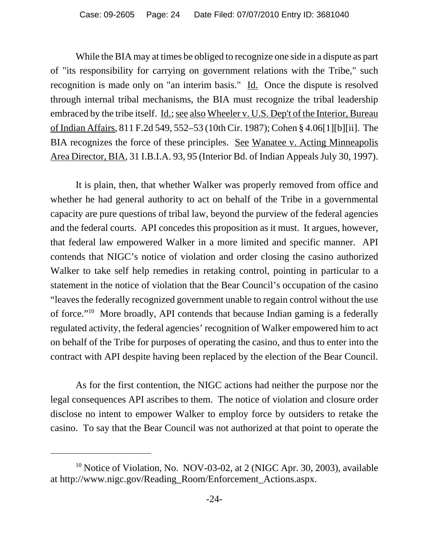While the BIA may at times be obliged to recognize one side in a dispute as part of "its responsibility for carrying on government relations with the Tribe," such recognition is made only on "an interim basis." Id. Once the dispute is resolved through internal tribal mechanisms, the BIA must recognize the tribal leadership embraced by the tribe itself. <u>Id.; see also Wheeler v. U.S. Dep't of the Interior, Bureau</u> of Indian Affairs, 811 F.2d 549, 552–53 (10th Cir. 1987); Cohen § 4.06[1][b][ii]. The BIA recognizes the force of these principles. See Wanatee v. Acting Minneapolis Area Director, BIA, 31 I.B.I.A. 93, 95 (Interior Bd. of Indian Appeals July 30, 1997).

It is plain, then, that whether Walker was properly removed from office and whether he had general authority to act on behalf of the Tribe in a governmental capacity are pure questions of tribal law, beyond the purview of the federal agencies and the federal courts. API concedes this proposition as it must. It argues, however, that federal law empowered Walker in a more limited and specific manner. API contends that NIGC's notice of violation and order closing the casino authorized Walker to take self help remedies in retaking control, pointing in particular to a statement in the notice of violation that the Bear Council's occupation of the casino "leaves the federally recognized government unable to regain control without the use of force."10 More broadly, API contends that because Indian gaming is a federally regulated activity, the federal agencies' recognition of Walker empowered him to act on behalf of the Tribe for purposes of operating the casino, and thus to enter into the contract with API despite having been replaced by the election of the Bear Council.

As for the first contention, the NIGC actions had neither the purpose nor the legal consequences API ascribes to them. The notice of violation and closure order disclose no intent to empower Walker to employ force by outsiders to retake the casino. To say that the Bear Council was not authorized at that point to operate the

<sup>&</sup>lt;sup>10</sup> Notice of Violation, No. NOV-03-02, at 2 (NIGC Apr. 30, 2003), available at http://www.nigc.gov/Reading\_Room/Enforcement\_Actions.aspx.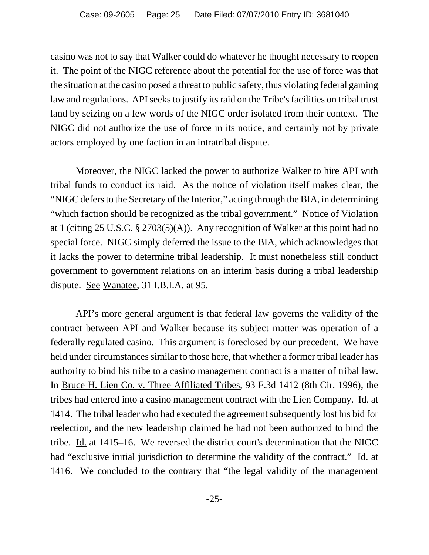casino was not to say that Walker could do whatever he thought necessary to reopen it. The point of the NIGC reference about the potential for the use of force was that the situation at the casino posed a threat to public safety, thus violating federal gaming law and regulations. API seeks to justify its raid on the Tribe's facilities on tribal trust land by seizing on a few words of the NIGC order isolated from their context. The NIGC did not authorize the use of force in its notice, and certainly not by private actors employed by one faction in an intratribal dispute.

Moreover, the NIGC lacked the power to authorize Walker to hire API with tribal funds to conduct its raid. As the notice of violation itself makes clear, the "NIGC defers to the Secretary of the Interior," acting through the BIA, in determining "which faction should be recognized as the tribal government." Notice of Violation at 1 (citing 25 U.S.C. § 2703(5)(A)). Any recognition of Walker at this point had no special force. NIGC simply deferred the issue to the BIA, which acknowledges that it lacks the power to determine tribal leadership. It must nonetheless still conduct government to government relations on an interim basis during a tribal leadership dispute. See Wanatee, 31 I.B.I.A. at 95.

API's more general argument is that federal law governs the validity of the contract between API and Walker because its subject matter was operation of a federally regulated casino. This argument is foreclosed by our precedent. We have held under circumstances similar to those here, that whether a former tribal leader has authority to bind his tribe to a casino management contract is a matter of tribal law. In Bruce H. Lien Co. v. Three Affiliated Tribes, 93 F.3d 1412 (8th Cir. 1996), the tribes had entered into a casino management contract with the Lien Company. Id. at 1414. The tribal leader who had executed the agreement subsequently lost his bid for reelection, and the new leadership claimed he had not been authorized to bind the tribe.  $\underline{Id}$  at 1415–16. We reversed the district court's determination that the NIGC had "exclusive initial jurisdiction to determine the validity of the contract." Id. at 1416. We concluded to the contrary that "the legal validity of the management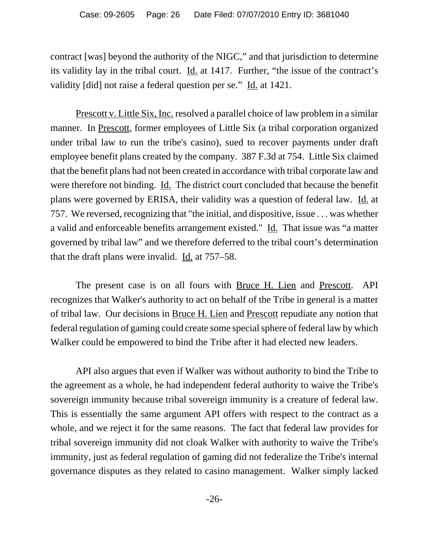contract [was] beyond the authority of the NIGC," and that jurisdiction to determine its validity lay in the tribal court. <u>Id.</u> at 1417. Further, "the issue of the contract's validity [did] not raise a federal question per se." Id. at 1421.

Prescott v. Little Six, Inc. resolved a parallel choice of law problem in a similar manner. In Prescott, former employees of Little Six (a tribal corporation organized under tribal law to run the tribe's casino), sued to recover payments under draft employee benefit plans created by the company. 387 F.3d at 754. Little Six claimed that the benefit plans had not been created in accordance with tribal corporate law and were therefore not binding. <u>Id.</u> The district court concluded that because the benefit plans were governed by ERISA, their validity was a question of federal law. Id. at 757. We reversed, recognizing that "the initial, and dispositive, issue . . . was whether a valid and enforceable benefits arrangement existed." Id. That issue was "a matter governed by tribal law" and we therefore deferred to the tribal court's determination that the draft plans were invalid. Id. at 757–58.

The present case is on all fours with Bruce H. Lien and Prescott. API recognizes that Walker's authority to act on behalf of the Tribe in general is a matter of tribal law. Our decisions in Bruce H. Lien and Prescott repudiate any notion that federal regulation of gaming could create some special sphere of federal law by which Walker could be empowered to bind the Tribe after it had elected new leaders.

API also argues that even if Walker was without authority to bind the Tribe to the agreement as a whole, he had independent federal authority to waive the Tribe's sovereign immunity because tribal sovereign immunity is a creature of federal law. This is essentially the same argument API offers with respect to the contract as a whole, and we reject it for the same reasons. The fact that federal law provides for tribal sovereign immunity did not cloak Walker with authority to waive the Tribe's immunity, just as federal regulation of gaming did not federalize the Tribe's internal governance disputes as they related to casino management. Walker simply lacked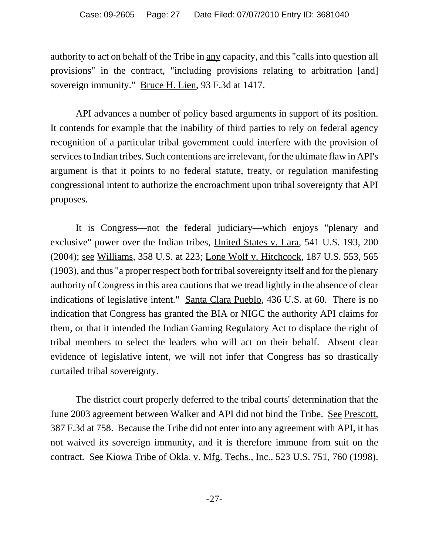authority to act on behalf of the Tribe in any capacity, and this "calls into question all provisions" in the contract, "including provisions relating to arbitration [and] sovereign immunity." Bruce H. Lien, 93 F.3d at 1417.

API advances a number of policy based arguments in support of its position. It contends for example that the inability of third parties to rely on federal agency recognition of a particular tribal government could interfere with the provision of services to Indian tribes. Such contentions are irrelevant, for the ultimate flaw in API's argument is that it points to no federal statute, treaty, or regulation manifesting congressional intent to authorize the encroachment upon tribal sovereignty that API proposes.

It is Congress—not the federal judiciary—which enjoys "plenary and exclusive" power over the Indian tribes, United States v. Lara, 541 U.S. 193, 200 (2004); see Williams, 358 U.S. at 223; Lone Wolf v. Hitchcock, 187 U.S. 553, 565 (1903), and thus "a proper respect both for tribal sovereignty itself and for the plenary authority of Congress in this area cautions that we tread lightly in the absence of clear indications of legislative intent." Santa Clara Pueblo, 436 U.S. at 60. There is no indication that Congress has granted the BIA or NIGC the authority API claims for them, or that it intended the Indian Gaming Regulatory Act to displace the right of tribal members to select the leaders who will act on their behalf. Absent clear evidence of legislative intent, we will not infer that Congress has so drastically curtailed tribal sovereignty.

The district court properly deferred to the tribal courts' determination that the June 2003 agreement between Walker and API did not bind the Tribe. See Prescott, 387 F.3d at 758. Because the Tribe did not enter into any agreement with API, it has not waived its sovereign immunity, and it is therefore immune from suit on the contract. See Kiowa Tribe of Okla. v. Mfg. Techs., Inc., 523 U.S. 751, 760 (1998).